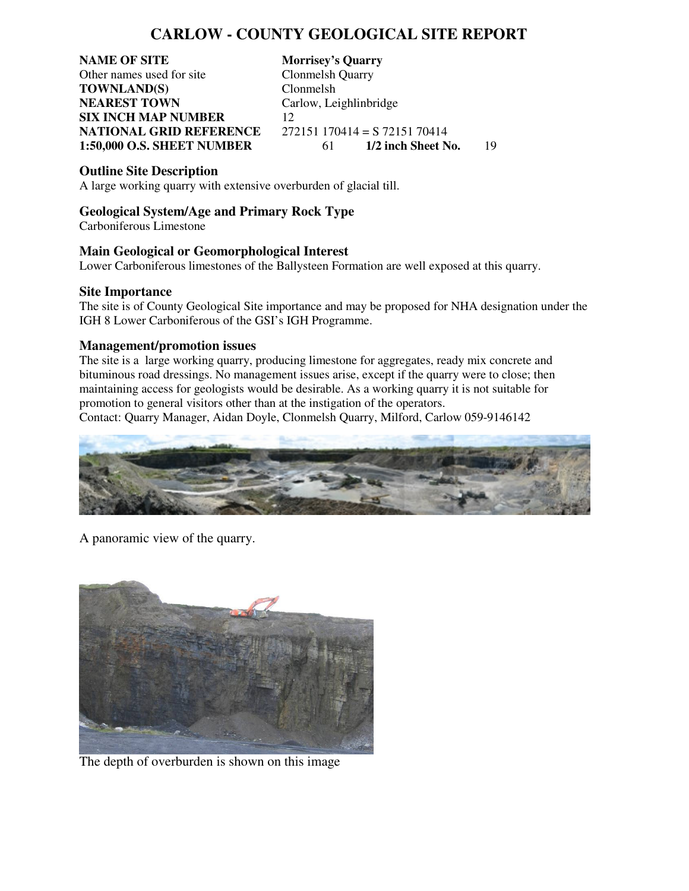## **CARLOW - COUNTY GEOLOGICAL SITE REPORT**

**NAME OF SITE Morrisey's Quarry**<br> **Other names used for site Clonmelsh Quarry** Other names used for site **TOWNLAND(S)** Clonmelsh **NEAREST TOWN** Carlow, Leighlinbridge **SIX INCH MAP NUMBER** 12 **NATIONAL GRID REFERENCE** 272151 170414 = S 72151 70414

**1:50,000 O.S. SHEET NUMBER** 61 **1/2 inch Sheet No.** 19

### **Outline Site Description**

A large working quarry with extensive overburden of glacial till.

### **Geological System/Age and Primary Rock Type**

Carboniferous Limestone

### **Main Geological or Geomorphological Interest**

Lower Carboniferous limestones of the Ballysteen Formation are well exposed at this quarry.

#### **Site Importance**

The site is of County Geological Site importance and may be proposed for NHA designation under the IGH 8 Lower Carboniferous of the GSI's IGH Programme.

### **Management/promotion issues**

The site is a large working quarry, producing limestone for aggregates, ready mix concrete and bituminous road dressings. No management issues arise, except if the quarry were to close; then maintaining access for geologists would be desirable. As a working quarry it is not suitable for promotion to general visitors other than at the instigation of the operators.

Contact: Quarry Manager, Aidan Doyle, Clonmelsh Quarry, Milford, Carlow 059-9146142



A panoramic view of the quarry.



The depth of overburden is shown on this image